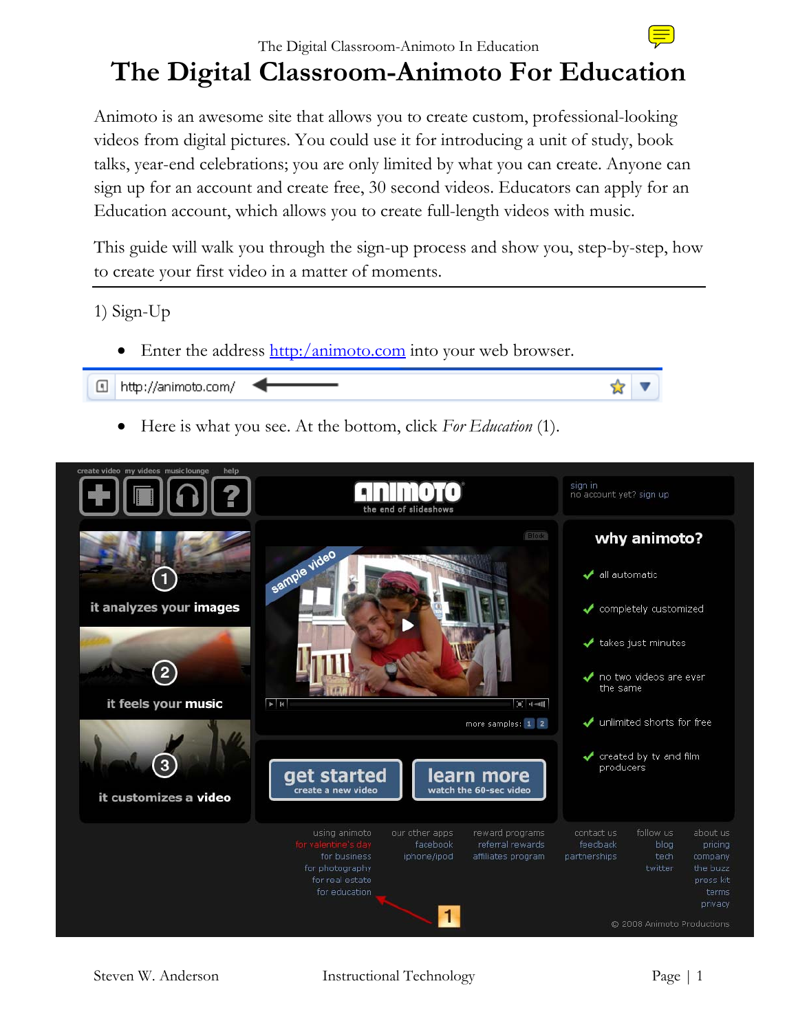## The Digital Classroom-Animoto In Education **The Digital Classroom-Animoto For Education**

Animoto is an awesome site that allows you to create custom, professional-looking videos from digital pictures. You could use it for introducing a unit of study, book talks, year-end celebrations; you are only limited by what you can create. Anyone can sign up for an account and create free, 30 second videos. Educators can apply for an Education account, which allows you to create full-length videos with music.

This guide will walk you through the sign-up process and show you, step-by-step, how to create your first video in a matter of moments.

1) Sign-Up

• Enter the address  $\frac{http://animoto.com}{http://animoto.com}$  into your web browser.



• Here is what you see. At the bottom, click *For Education* (1).

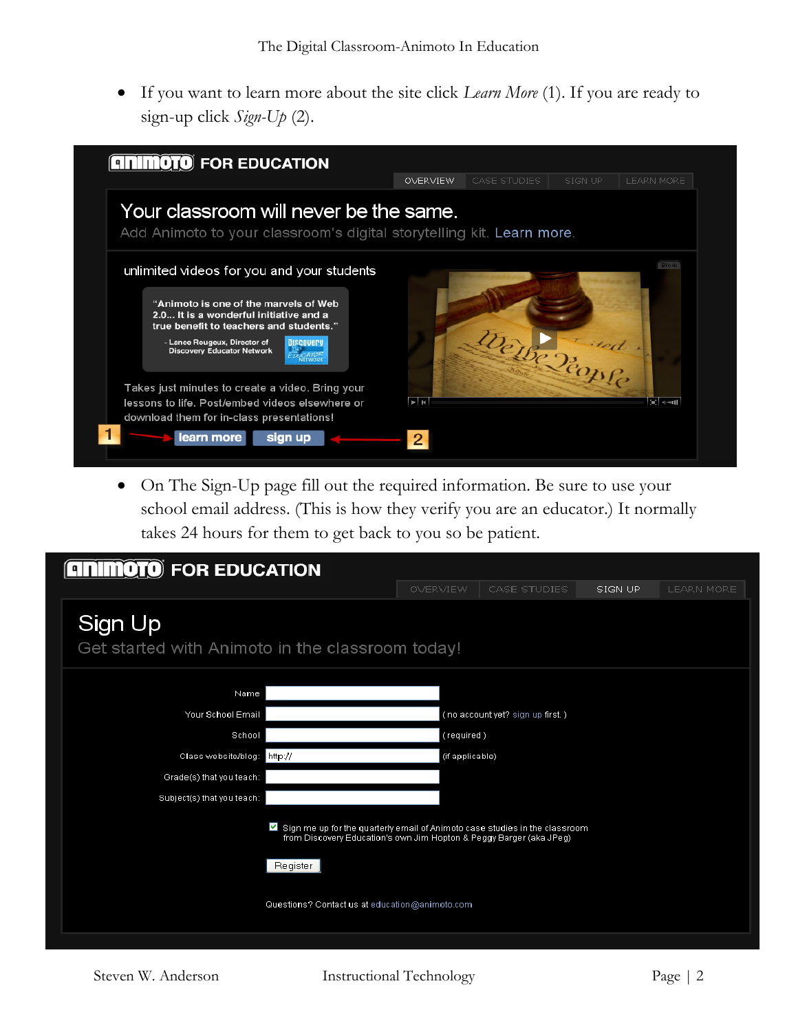• If you want to learn more about the site click *Learn More* (1). If you are ready to sign-up click *Sign-Up* (2).



• On The Sign-Up page fill out the required information. Be sure to use your school email address. (This is how they verify you are an educator.) It normally takes 24 hours for them to get back to you so be patient.

| <b>MOTO</b> FOR EDUCATION<br>$\mathbf{q}$                                                                                                                                     |                 |                                  |         |                   |  |  |
|-------------------------------------------------------------------------------------------------------------------------------------------------------------------------------|-----------------|----------------------------------|---------|-------------------|--|--|
|                                                                                                                                                                               | OVERVIEW        | CASE STUDIES                     | SIGN UP | <b>LEARN MORE</b> |  |  |
| Sign Up<br>Get started with Animoto in the classroom today!                                                                                                                   |                 |                                  |         |                   |  |  |
| Name                                                                                                                                                                          |                 |                                  |         |                   |  |  |
| Your School Email                                                                                                                                                             |                 | (no account yet? sign up first.) |         |                   |  |  |
| School                                                                                                                                                                        | (required)      |                                  |         |                   |  |  |
| Class website/blog: http://                                                                                                                                                   | (if applicable) |                                  |         |                   |  |  |
| Grade(s) that you teach:                                                                                                                                                      |                 |                                  |         |                   |  |  |
| Subject(s) that you teach:                                                                                                                                                    |                 |                                  |         |                   |  |  |
| $\blacksquare$ Sign me up for the quarterly email of Animoto case studies in the classroom<br>from Discovery Education's own Jim Hopton & Peggy Barger (aka JPeg)<br>Register |                 |                                  |         |                   |  |  |
| Questions? Contact us at education@animoto.com                                                                                                                                |                 |                                  |         |                   |  |  |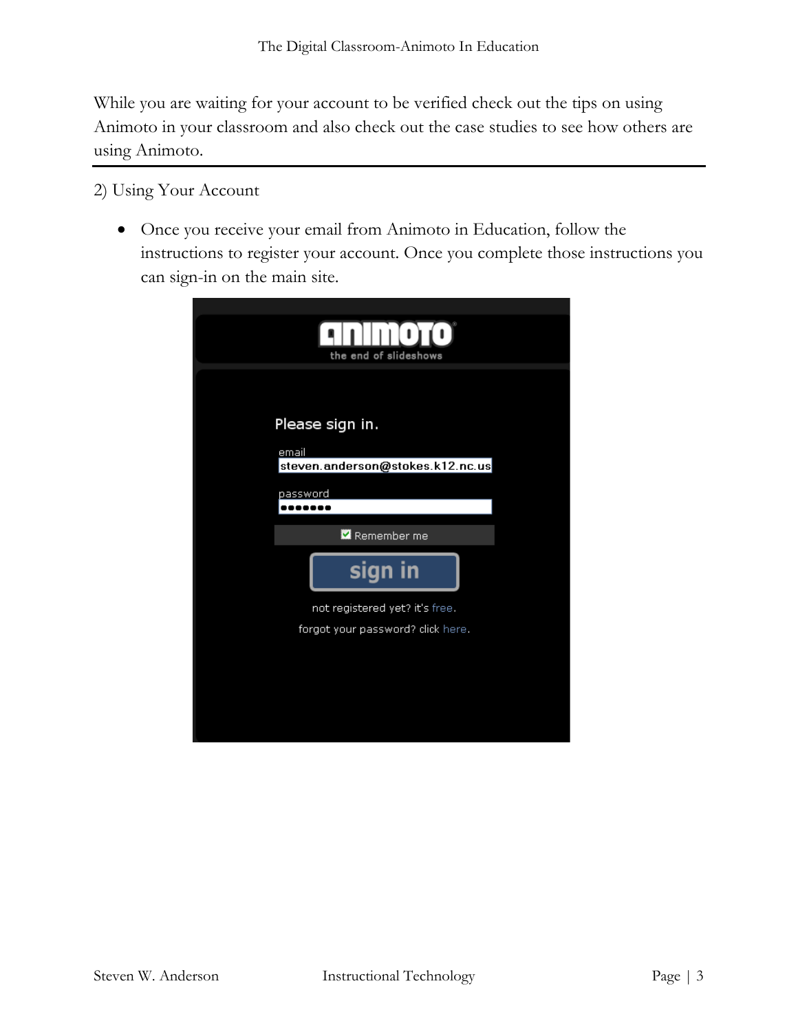While you are waiting for your account to be verified check out the tips on using Animoto in your classroom and also check out the case studies to see how others are using Animoto.

2) Using Your Account

• Once you receive your email from Animoto in Education, follow the instructions to register your account. Once you complete those instructions you can sign-in on the main site.

| the end of slideshows                                               |  |  |
|---------------------------------------------------------------------|--|--|
| Please sign in.<br>email<br>steven.anderson@stokes.k12.nc.us        |  |  |
| password<br>Remember me                                             |  |  |
| sign in                                                             |  |  |
| not registered yet? it's free.<br>forgot your password? click here. |  |  |
|                                                                     |  |  |
|                                                                     |  |  |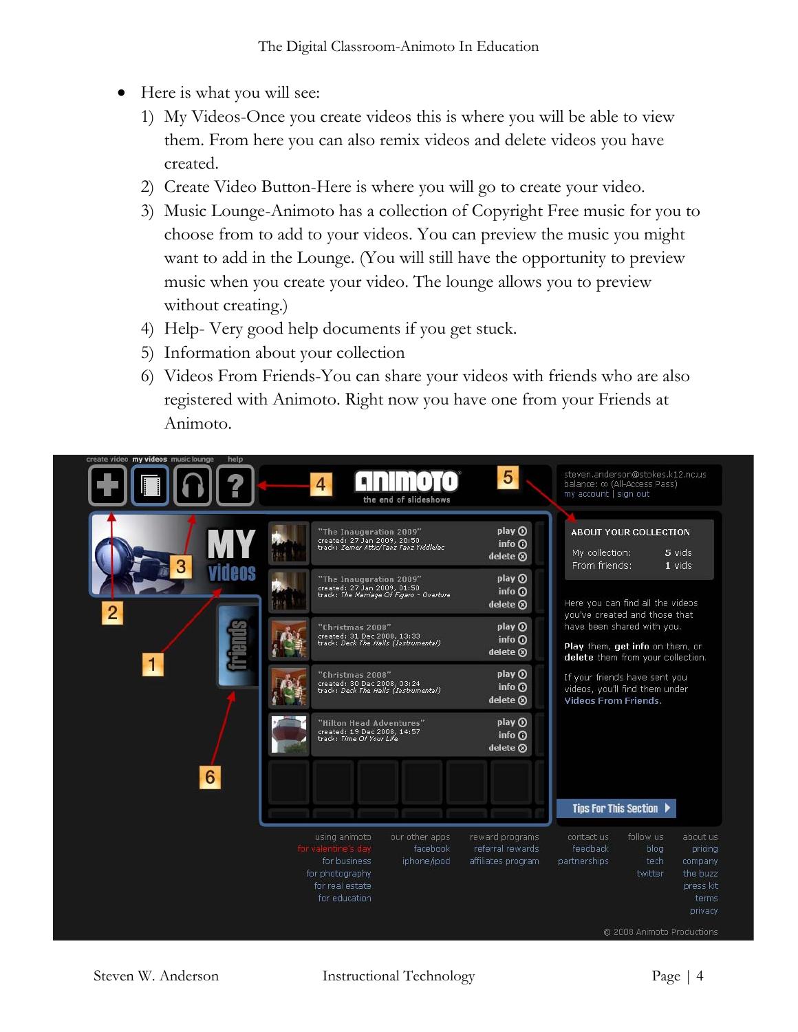- Here is what you will see:
	- 1) My Videos-Once you create videos this is where you will be able to view them. From here you can also remix videos and delete videos you have created.
	- 2) Create Video Button-Here is where you will go to create your video.
	- 3) Music Lounge-Animoto has a collection of Copyright Free music for you to choose from to add to your videos. You can preview the music you might want to add in the Lounge. (You will still have the opportunity to preview music when you create your video. The lounge allows you to preview without creating.)
	- 4) Help- Very good help documents if you get stuck.
	- 5) Information about your collection
	- 6) Videos From Friends-You can share your videos with friends who are also registered with Animoto. Right now you have one from your Friends at Animoto.

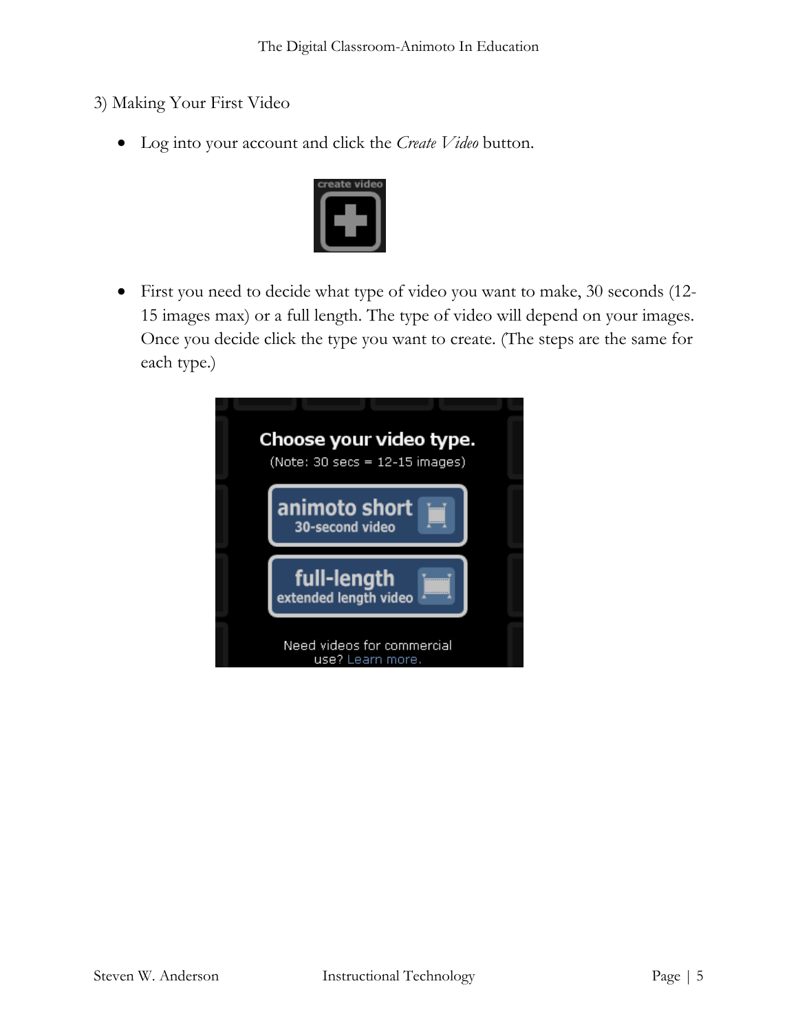- 3) Making Your First Video
	- Log into your account and click the *Create Video* button.



• First you need to decide what type of video you want to make, 30 seconds (12- 15 images max) or a full length. The type of video will depend on your images. Once you decide click the type you want to create. (The steps are the same for each type.)

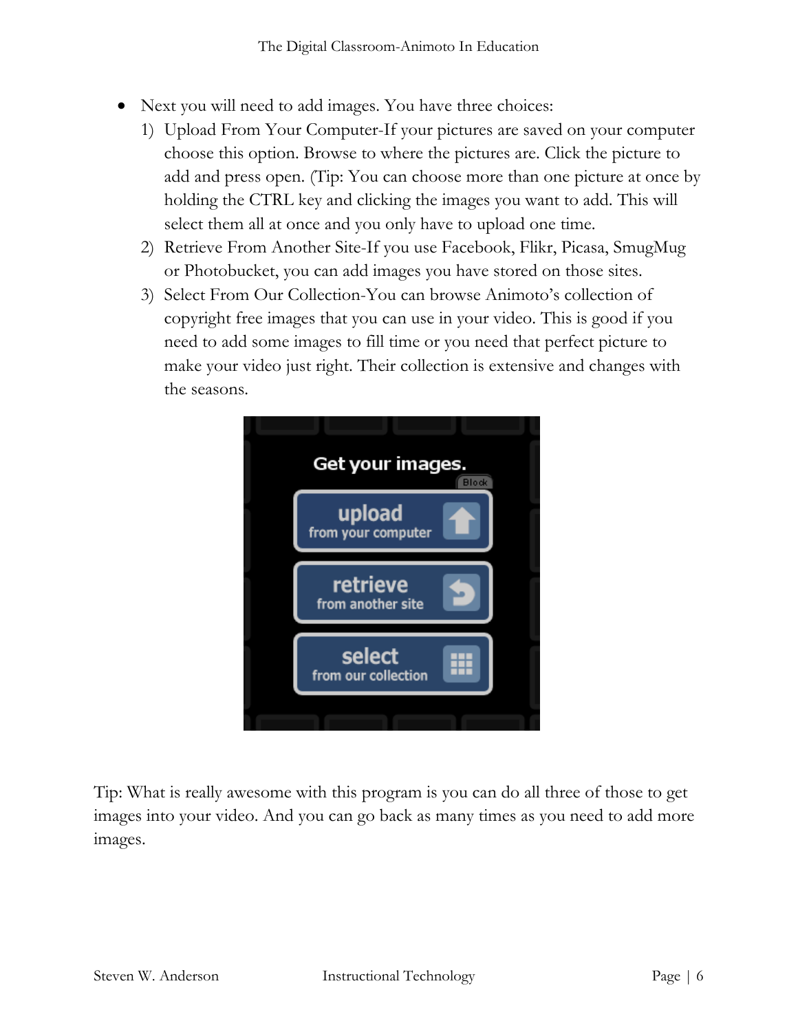- Next you will need to add images. You have three choices:
	- 1) Upload From Your Computer-If your pictures are saved on your computer choose this option. Browse to where the pictures are. Click the picture to add and press open. (Tip: You can choose more than one picture at once by holding the CTRL key and clicking the images you want to add. This will select them all at once and you only have to upload one time.
	- 2) Retrieve From Another Site-If you use Facebook, Flikr, Picasa, SmugMug or Photobucket, you can add images you have stored on those sites.
	- 3) Select From Our Collection-You can browse Animoto's collection of copyright free images that you can use in your video. This is good if you need to add some images to fill time or you need that perfect picture to make your video just right. Their collection is extensive and changes with the seasons.



Tip: What is really awesome with this program is you can do all three of those to get images into your video. And you can go back as many times as you need to add more images.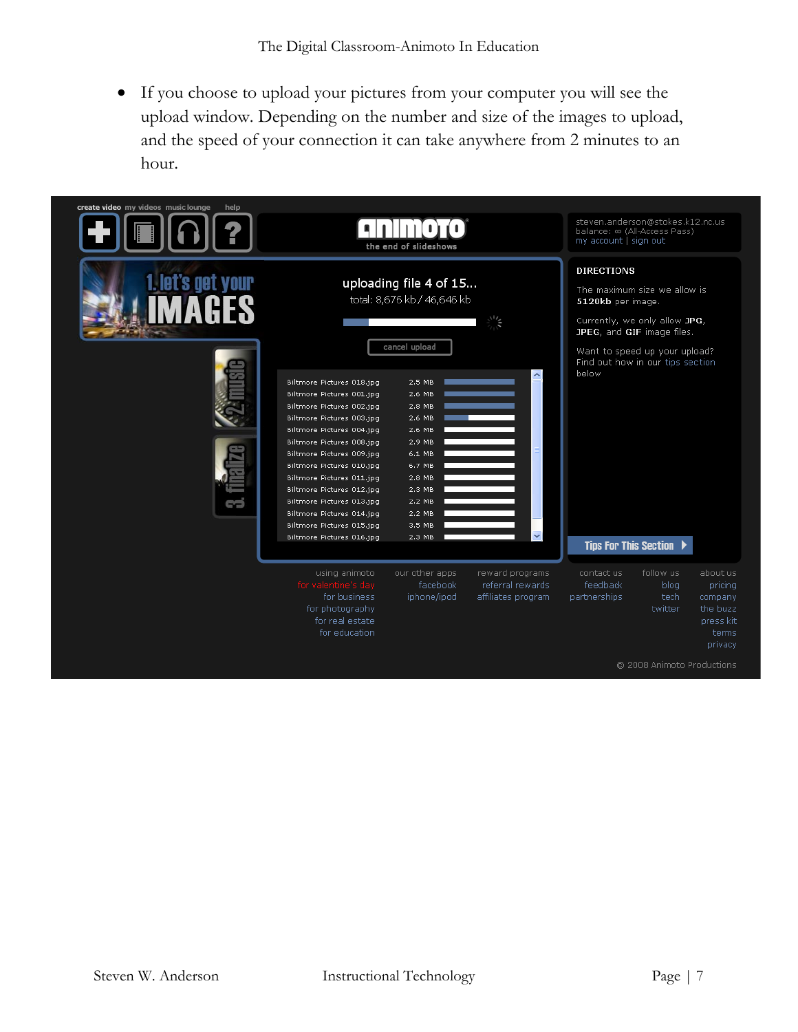• If you choose to upload your pictures from your computer you will see the upload window. Depending on the number and size of the images to upload, and the speed of your connection it can take anywhere from 2 minutes to an hour.

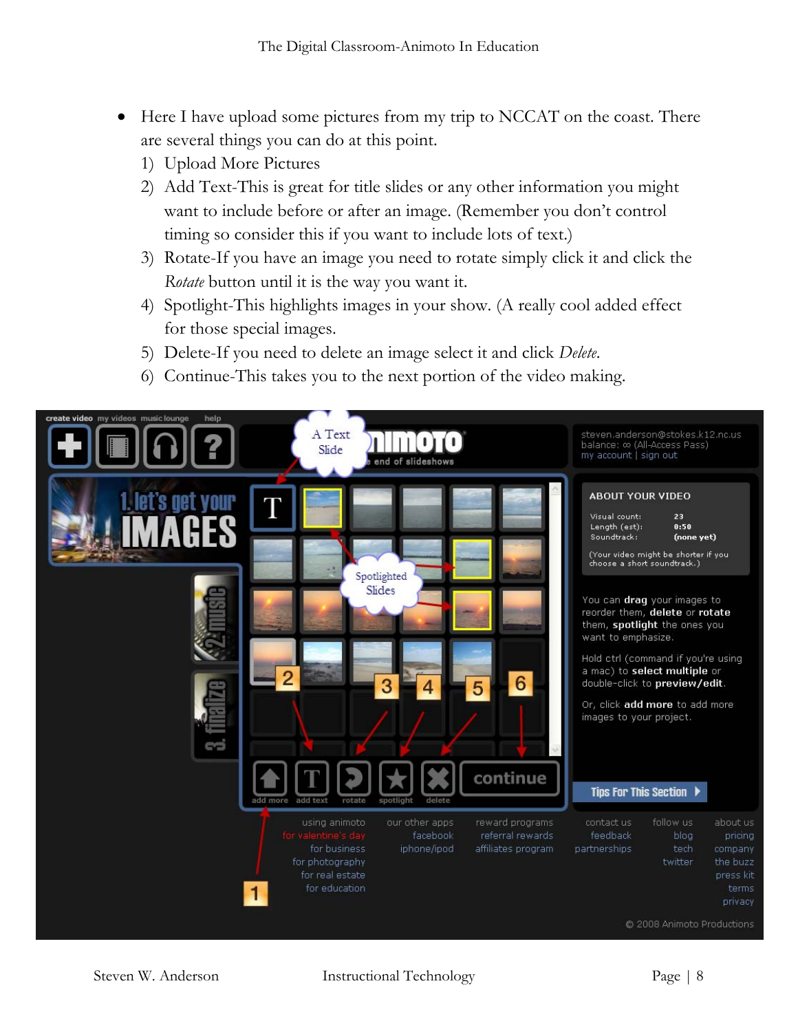- Here I have upload some pictures from my trip to NCCAT on the coast. There are several things you can do at this point.
	- 1) Upload More Pictures
	- 2) Add Text-This is great for title slides or any other information you might want to include before or after an image. (Remember you don't control timing so consider this if you want to include lots of text.)
	- 3) Rotate-If you have an image you need to rotate simply click it and click the *Rotate* button until it is the way you want it.
	- 4) Spotlight-This highlights images in your show. (A really cool added effect for those special images.
	- 5) Delete-If you need to delete an image select it and click *Delete*.
	- 6) Continue-This takes you to the next portion of the video making.

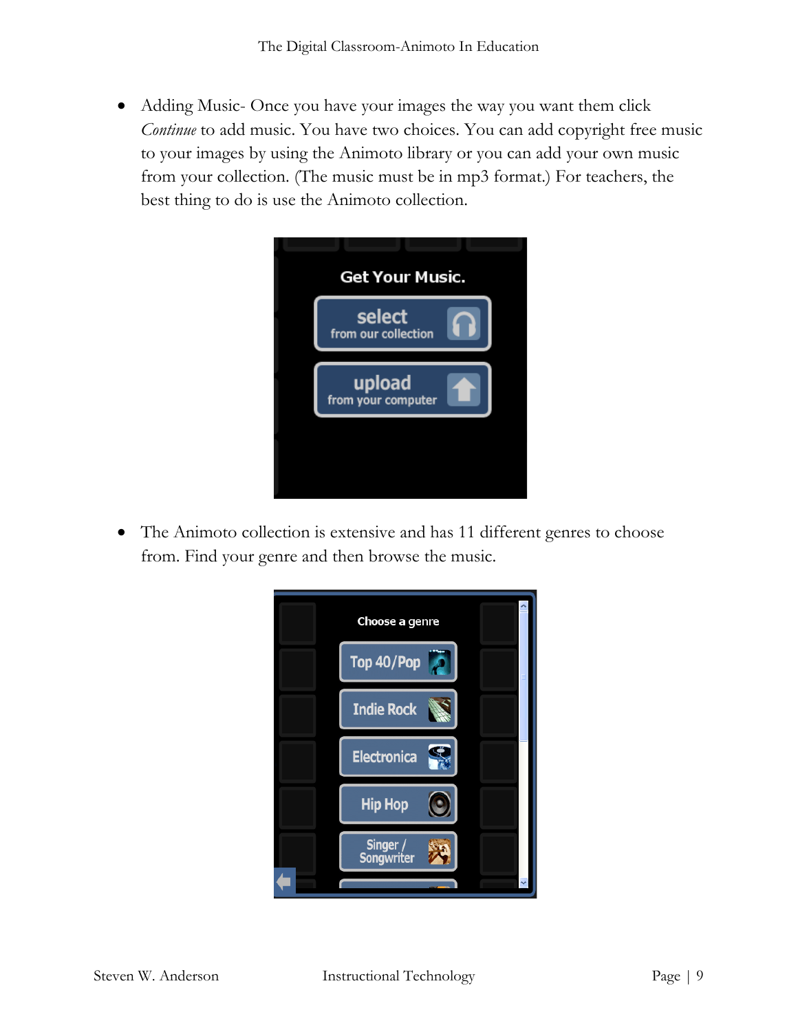• Adding Music- Once you have your images the way you want them click *Continue* to add music. You have two choices. You can add copyright free music to your images by using the Animoto library or you can add your own music from your collection. (The music must be in mp3 format.) For teachers, the best thing to do is use the Animoto collection.



• The Animoto collection is extensive and has 11 different genres to choose from. Find your genre and then browse the music.

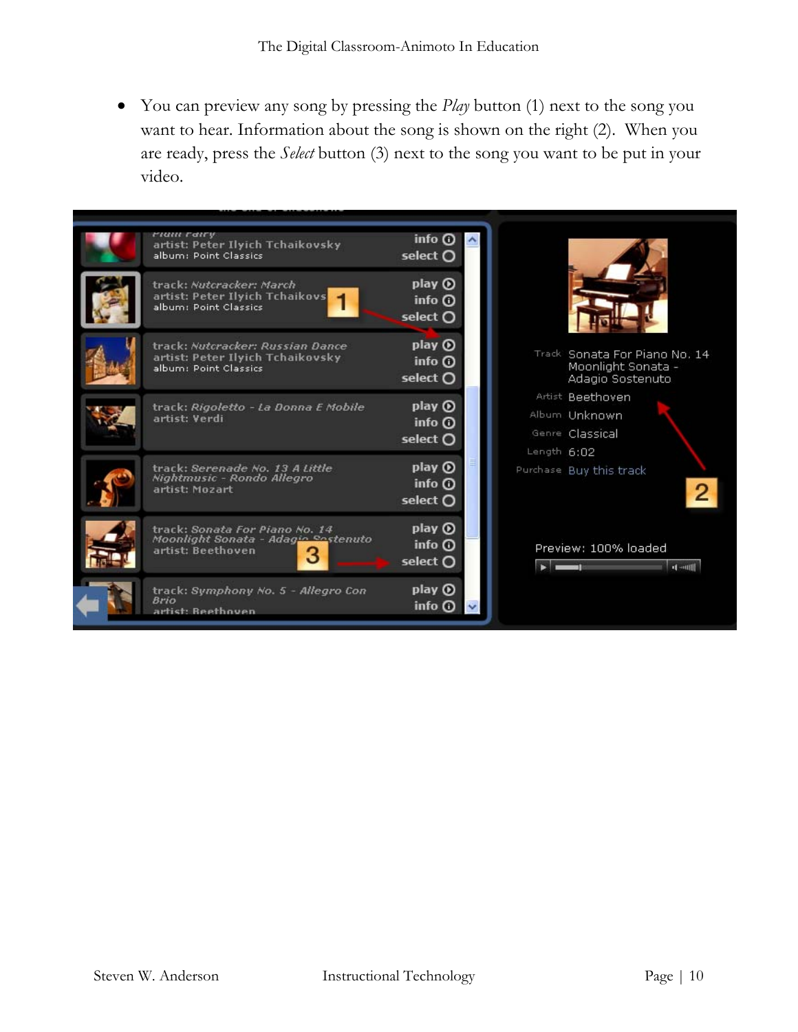• You can preview any song by pressing the *Play* button (1) next to the song you want to hear. Information about the song is shown on the right (2). When you are ready, press the *Select* button (3) next to the song you want to be put in your video.

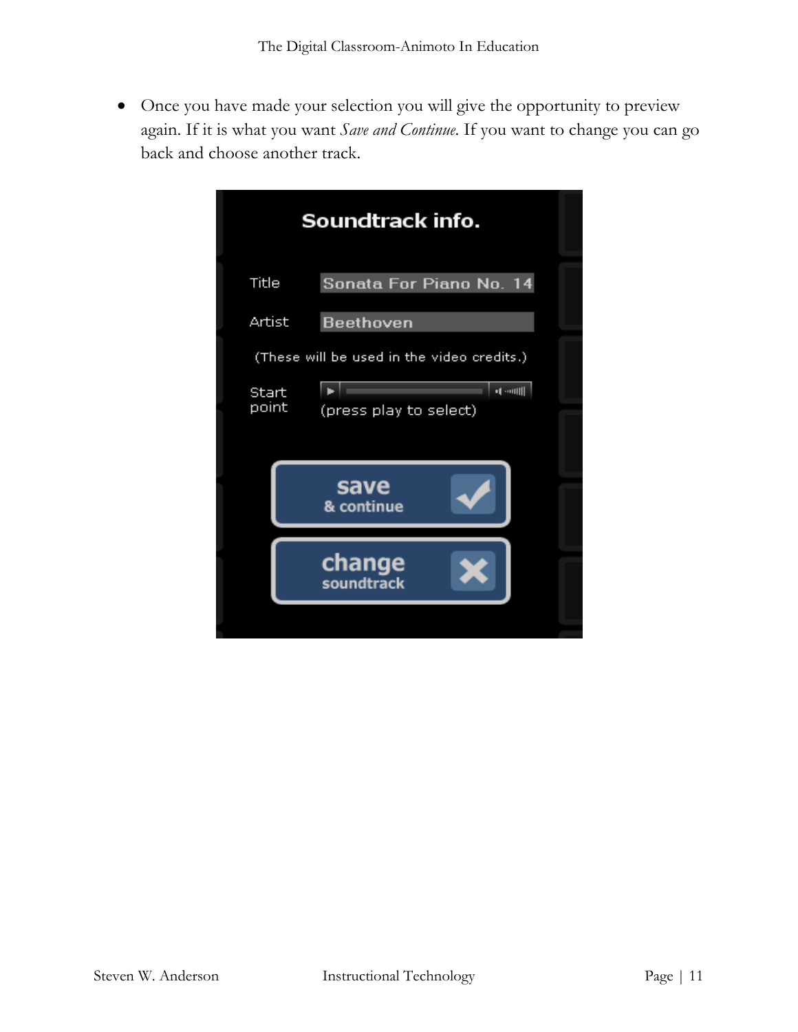• Once you have made your selection you will give the opportunity to preview again. If it is what you want *Save and Continue*. If you want to change you can go back and choose another track.

| Soundtrack info.                                    |                         |  |  |
|-----------------------------------------------------|-------------------------|--|--|
| Title                                               | Sonata For Piano No. 14 |  |  |
| Artist                                              | Beethoven               |  |  |
| (These will be used in the video credits.)<br>Start |                         |  |  |
| point                                               | (press play to select)  |  |  |
|                                                     | save<br>& continue      |  |  |
|                                                     | change<br>soundtrack    |  |  |
|                                                     |                         |  |  |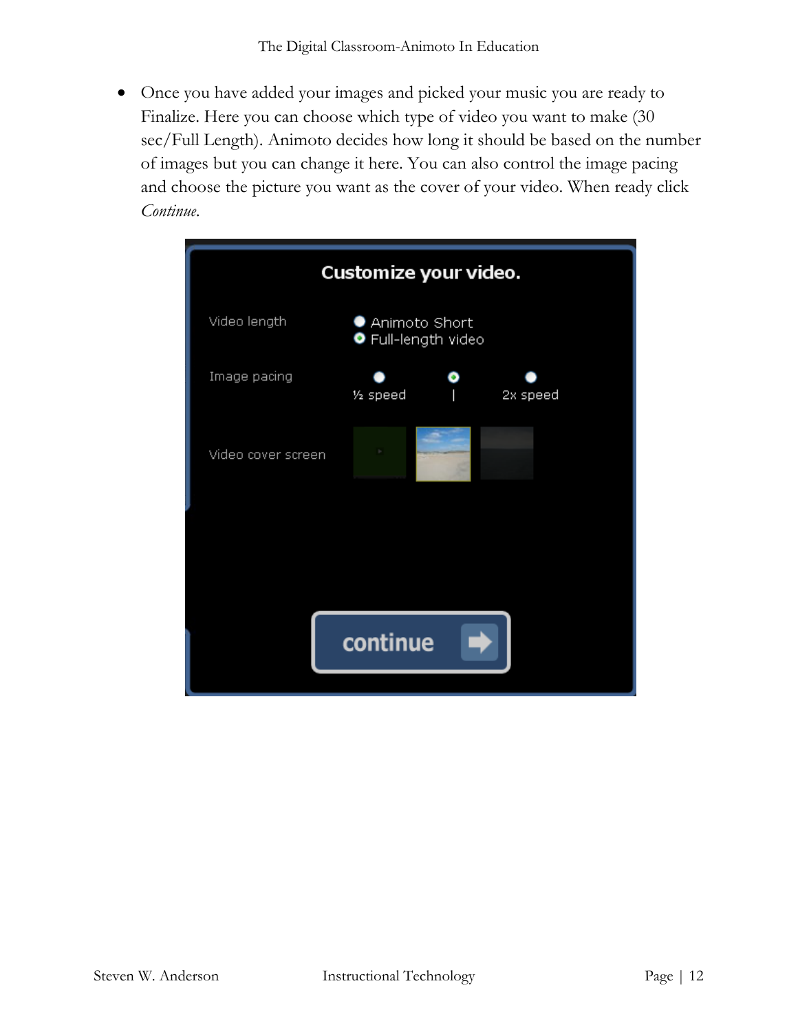• Once you have added your images and picked your music you are ready to Finalize. Here you can choose which type of video you want to make (30 sec/Full Length). Animoto decides how long it should be based on the number of images but you can change it here. You can also control the image pacing and choose the picture you want as the cover of your video. When ready click *Continue*.

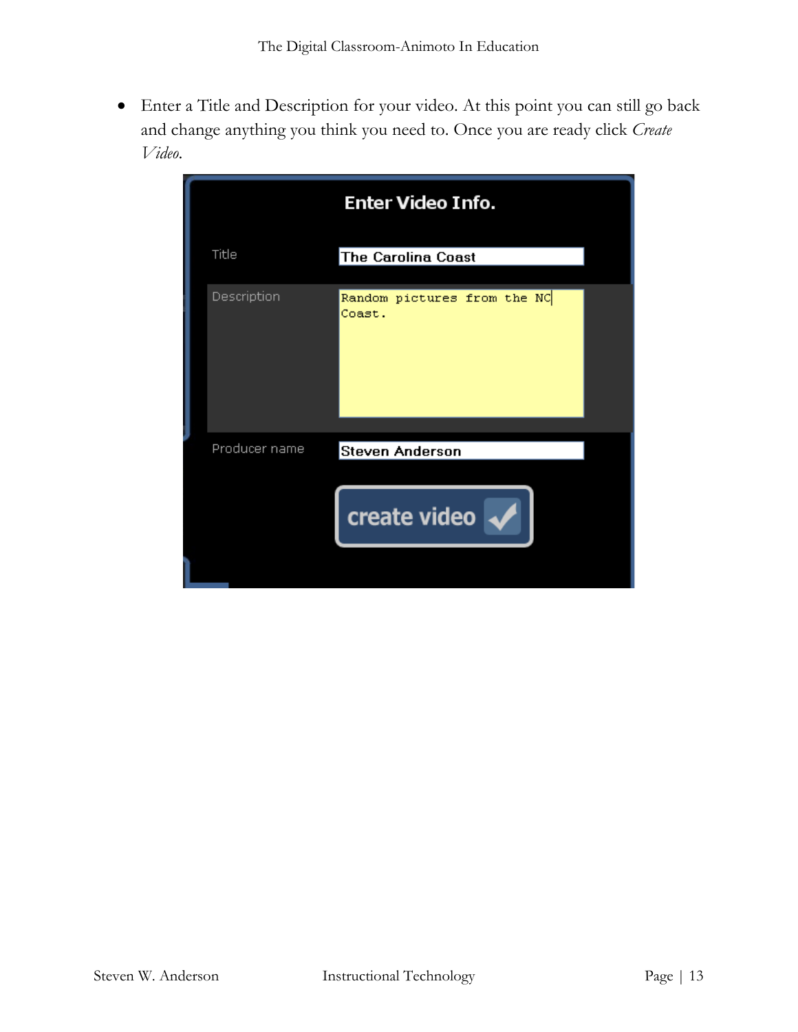• Enter a Title and Description for your video. At this point you can still go back and change anything you think you need to. Once you are ready click *Create Video*.

|               | <b>Enter Video Info.</b>              |
|---------------|---------------------------------------|
| Title         | <b>The Carolina Coast</b>             |
| Description   | Random pictures from the NC<br>Coast. |
| Producer name | Steven Anderson<br>create video       |
|               |                                       |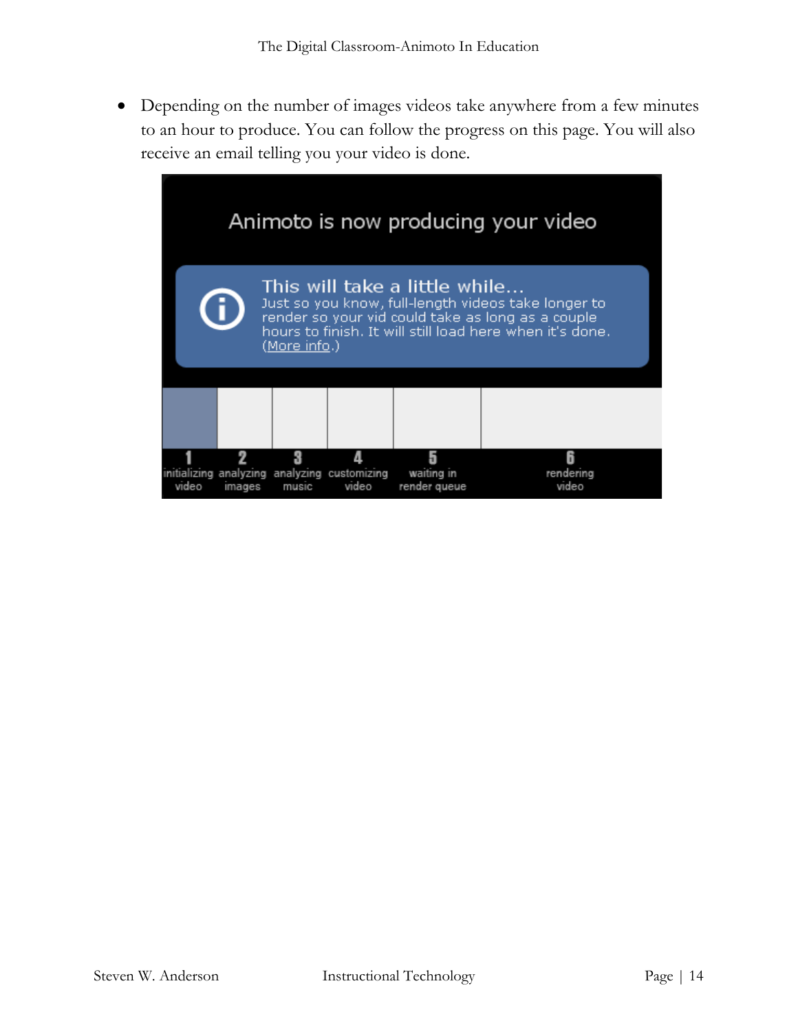• Depending on the number of images videos take anywhere from a few minutes to an hour to produce. You can follow the progress on this page. You will also receive an email telling you your video is done.